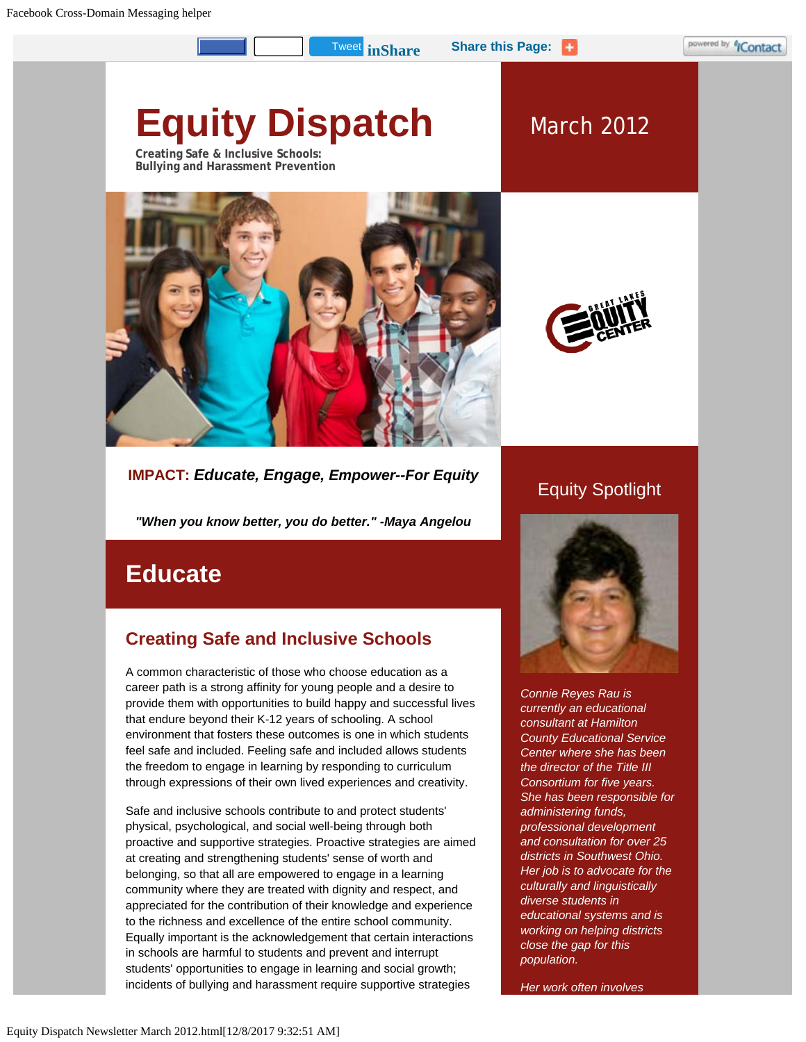**[Tweet](https://twitter.com/intent/tweet?ref_src=twsrc%5Etfw&tw_p=tweetbutton) in Share Share this Page:** 

# **Equity Dispatch**

**Creating Safe & Inclusive Schools: Bullying and Harassment Prevention**





March 2012

# **IMPACT:** *Educate, Engage, Empower--For Equity*

*"When you know better, you do better." -Maya Angelou*

# **Educate**

# **Creating Safe and Inclusive Schools**

A common characteristic of those who choose education as a career path is a strong affinity for young people and a desire to provide them with opportunities to build happy and successful lives that endure beyond their K-12 years of schooling. A school environment that fosters these outcomes is one in which students feel safe and included. Feeling safe and included allows students the freedom to engage in learning by responding to curriculum through expressions of their own lived experiences and creativity.

Safe and inclusive schools contribute to and protect students' physical, psychological, and social well-being through both proactive and supportive strategies. Proactive strategies are aimed at creating and strengthening students' sense of worth and belonging, so that all are empowered to engage in a learning community where they are treated with dignity and respect, and appreciated for the contribution of their knowledge and experience to the richness and excellence of the entire school community. Equally important is the acknowledgement that certain interactions in schools are harmful to students and prevent and interrupt students' opportunities to engage in learning and social growth; incidents of bullying and harassment require supportive strategies

# Equity Spotlight



*Connie Reyes Rau is currently an educational consultant at Hamilton County Educational Service Center where she has been the director of the Title III Consortium for five years. She has been responsible for administering funds, professional development and consultation for over 25 districts in Southwest Ohio. Her job is to advocate for the culturally and linguistically diverse students in educational systems and is working on helping districts close the gap for this population.*

*Her work often involves*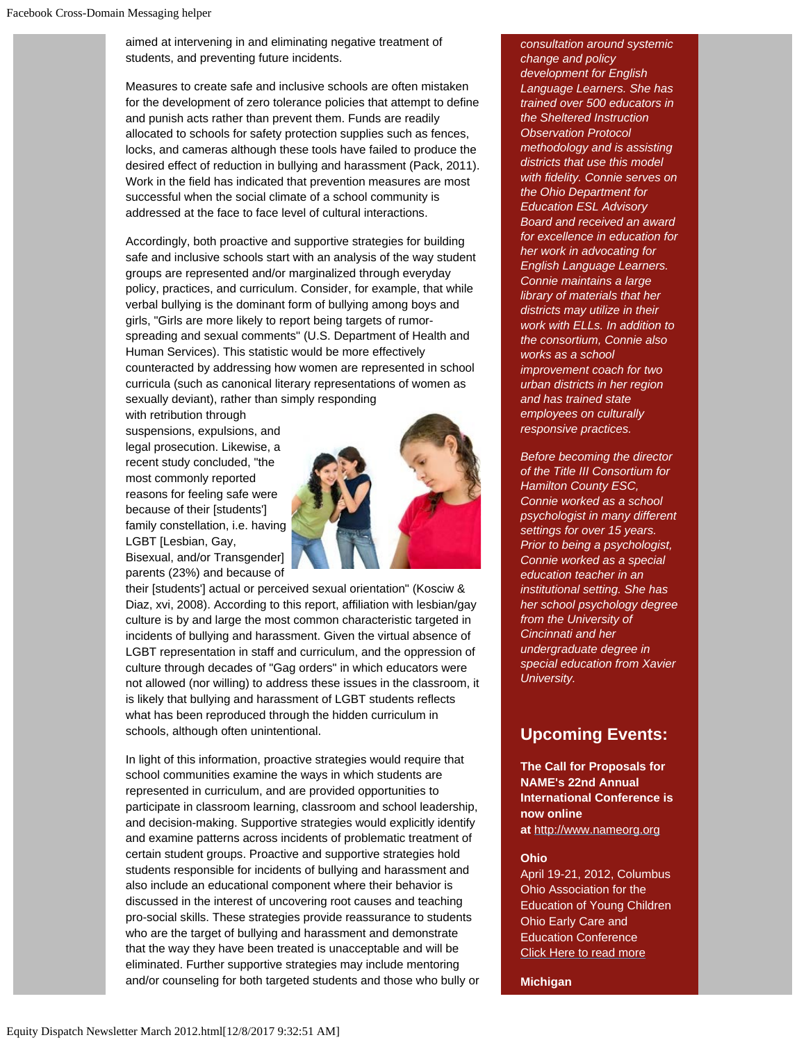aimed at intervening in and eliminating negative treatment of students, and preventing future incidents.

Measures to create safe and inclusive schools are often mistaken for the development of zero tolerance policies that attempt to define and punish acts rather than prevent them. Funds are readily allocated to schools for safety protection supplies such as fences, locks, and cameras although these tools have failed to produce the desired effect of reduction in bullying and harassment (Pack, 2011). Work in the field has indicated that prevention measures are most successful when the social climate of a school community is addressed at the face to face level of cultural interactions.

Accordingly, both proactive and supportive strategies for building safe and inclusive schools start with an analysis of the way student groups are represented and/or marginalized through everyday policy, practices, and curriculum. Consider, for example, that while verbal bullying is the dominant form of bullying among boys and girls, "Girls are more likely to report being targets of rumorspreading and sexual comments" (U.S. Department of Health and Human Services). This statistic would be more effectively counteracted by addressing how women are represented in school curricula (such as canonical literary representations of women as sexually deviant), rather than simply responding

with retribution through suspensions, expulsions, and legal prosecution. Likewise, a recent study concluded, "the most commonly reported reasons for feeling safe were because of their [students'] family constellation, i.e. having LGBT [Lesbian, Gay, Bisexual, and/or Transgender] parents (23%) and because of



their [students'] actual or perceived sexual orientation" (Kosciw & Diaz, xvi, 2008). According to this report, affiliation with lesbian/gay culture is by and large the most common characteristic targeted in incidents of bullying and harassment. Given the virtual absence of LGBT representation in staff and curriculum, and the oppression of culture through decades of "Gag orders" in which educators were not allowed (nor willing) to address these issues in the classroom, it is likely that bullying and harassment of LGBT students reflects what has been reproduced through the hidden curriculum in schools, although often unintentional.

In light of this information, proactive strategies would require that school communities examine the ways in which students are represented in curriculum, and are provided opportunities to participate in classroom learning, classroom and school leadership, and decision-making. Supportive strategies would explicitly identify and examine patterns across incidents of problematic treatment of certain student groups. Proactive and supportive strategies hold students responsible for incidents of bullying and harassment and also include an educational component where their behavior is discussed in the interest of uncovering root causes and teaching pro-social skills. These strategies provide reassurance to students who are the target of bullying and harassment and demonstrate that the way they have been treated is unacceptable and will be eliminated. Further supportive strategies may include mentoring and/or counseling for both targeted students and those who bully or *consultation around systemic change and policy development for English Language Learners. She has trained over 500 educators in the Sheltered Instruction Observation Protocol methodology and is assisting districts that use this model with fidelity. Connie serves on the Ohio Department for Education ESL Advisory Board and received an award for excellence in education for her work in advocating for English Language Learners. Connie maintains a large library of materials that her districts may utilize in their work with ELLs. In addition to the consortium, Connie also works as a school improvement coach for two urban districts in her region and has trained state employees on culturally responsive practices.*

*Before becoming the director of the Title III Consortium for Hamilton County ESC, Connie worked as a school psychologist in many different settings for over 15 years. Prior to being a psychologist, Connie worked as a special education teacher in an institutional setting. She has her school psychology degree from the University of Cincinnati and her undergraduate degree in special education from Xavier University.*

### **Upcoming Events:**

**The Call for Proposals for NAME's 22nd Annual International Conference is now online at** [http://www.nameorg.org](http://click.icptrack.com/icp/rclick.php?d=Gp73aByODKFDtKXRRIoPNXyUD1md0ycw&w=3&destination=http%3A%2F%2Fwww.nameorg.org.%2F)

#### **Ohio**

April 19-21, 2012, Columbus Ohio Association for the Education of Young Children Ohio Early Care and Education Conference [Click Here to read more](http://click.icptrack.com/icp/rclick.php?d=Gp73aByODKFDtKXRRIoPNXyUD1md0ycw&w=3&destination=http%3A%2F%2Fwww.oaeyc.org%2Fi4a%2Fpages%2Findex.cfm%3Fpageid%3D3428)

**Michigan**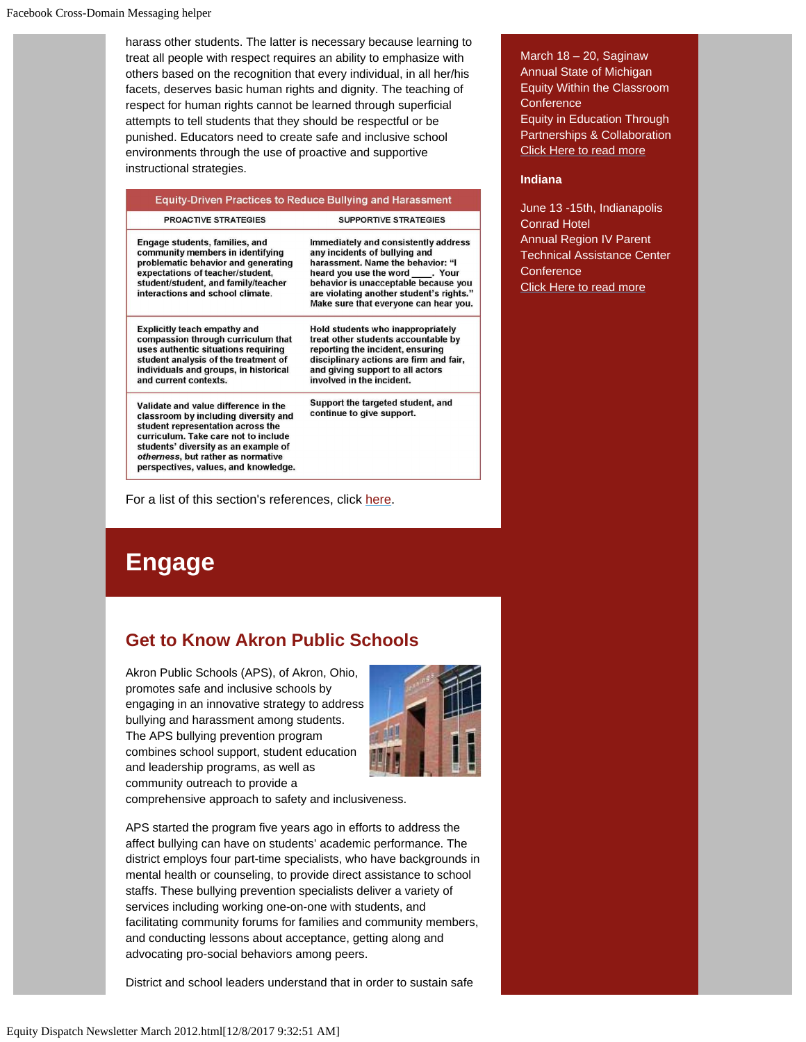harass other students. The latter is necessary because learning to treat all people with respect requires an ability to emphasize with others based on the recognition that every individual, in all her/his facets, deserves basic human rights and dignity. The teaching of respect for human rights cannot be learned through superficial attempts to tell students that they should be respectful or be punished. Educators need to create safe and inclusive school environments through the use of proactive and supportive instructional strategies.

| <b>Equity-Driven Practices to Reduce Bullying and Harassment</b>                                                                                                                                                                                                                |                                                                                                                                                                                                                                                                          |
|---------------------------------------------------------------------------------------------------------------------------------------------------------------------------------------------------------------------------------------------------------------------------------|--------------------------------------------------------------------------------------------------------------------------------------------------------------------------------------------------------------------------------------------------------------------------|
| PROACTIVE STRATEGIES                                                                                                                                                                                                                                                            | <b>SUPPORTIVE STRATEGIES</b>                                                                                                                                                                                                                                             |
| Engage students, families, and<br>community members in identifying<br>problematic behavior and generating<br>expectations of teacher/student,<br>student/student, and family/teacher<br>interactions and school climate.                                                        | Immediately and consistently address<br>any incidents of bullying and<br>harassment. Name the behavior: "I<br>heard you use the word . Your<br>behavior is unacceptable because you<br>are violating another student's rights."<br>Make sure that everyone can hear you. |
| <b>Explicitly teach empathy and</b><br>compassion through curriculum that<br>uses authentic situations requiring<br>student analysis of the treatment of<br>individuals and groups, in historical<br>and current contexts.                                                      | Hold students who inappropriately<br>treat other students accountable by<br>reporting the incident, ensuring<br>disciplinary actions are firm and fair,<br>and giving support to all actors<br>involved in the incident.                                                 |
| Validate and value difference in the<br>classroom by including diversity and<br>student representation across the<br>curriculum. Take care not to include<br>students' diversity as an example of<br>otherness, but rather as normative<br>perspectives, values, and knowledge. | Support the targeted student, and<br>continue to give support.                                                                                                                                                                                                           |

For a list of this section's references, click [here.](#page-5-0)

# **Engage**

# **Get to Know Akron Public Schools**

Akron Public Schools (APS), of Akron, Ohio, promotes safe and inclusive schools by engaging in an innovative strategy to address bullying and harassment among students. The APS bullying prevention program combines school support, student education and leadership programs, as well as community outreach to provide a



comprehensive approach to safety and inclusiveness.

APS started the program five years ago in efforts to address the affect bullying can have on students' academic performance. The district employs four part-time specialists, who have backgrounds in mental health or counseling, to provide direct assistance to school staffs. These bullying prevention specialists deliver a variety of services including working one-on-one with students, and facilitating community forums for families and community members, and conducting lessons about acceptance, getting along and advocating pro-social behaviors among peers.

District and school leaders understand that in order to sustain safe

March 18 – 20, Saginaw Annual State of Michigan Equity Within the Classroom **Conference** Equity in Education Through Partnerships & Collaboration [Click Here to read more](http://click.icptrack.com/icp/rclick.php?d=Gp73aByODKFDtKXRRIoPNXyUD1md0ycw&w=3&destination=http%3A%2F%2Fwww.svsu.edu%2Fequityconference%2Fequityconference.html)

#### **Indiana**

June 13 -15th, Indianapolis Conrad Hotel Annual Region IV Parent Technical Assistance Center **Conference** [Click Here to read more](http://click.icptrack.com/icp/rclick.php?d=Gp73aByODKFDtKXRRIoPNXyUD1md0ycw&w=3&destination=http%3A%2F%2Fwww.parentcenternetwork.org%2Fregion4%2Faboutus.html)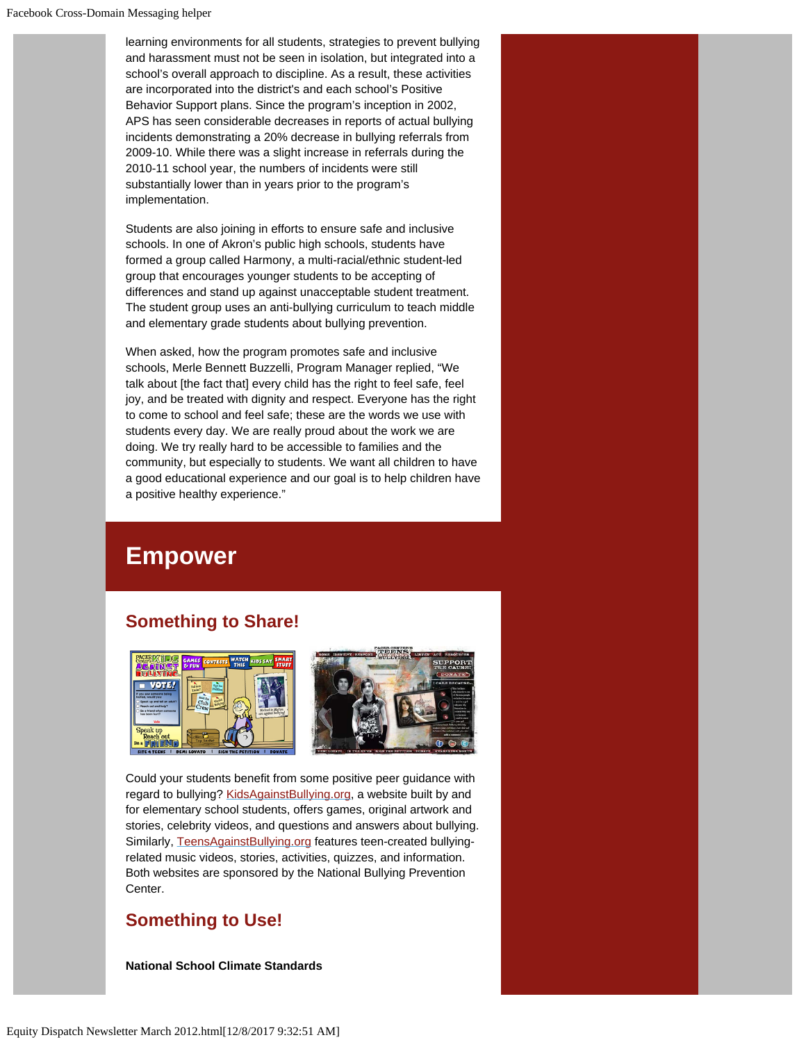learning environments for all students, strategies to prevent bullying and harassment must not be seen in isolation, but integrated into a school's overall approach to discipline. As a result, these activities are incorporated into the district's and each school's Positive Behavior Support plans. Since the program's inception in 2002, APS has seen considerable decreases in reports of actual bullying incidents demonstrating a 20% decrease in bullying referrals from 2009-10. While there was a slight increase in referrals during the 2010-11 school year, the numbers of incidents were still substantially lower than in years prior to the program's implementation.

Students are also joining in efforts to ensure safe and inclusive schools. In one of Akron's public high schools, students have formed a group called Harmony, a multi-racial/ethnic student-led group that encourages younger students to be accepting of differences and stand up against unacceptable student treatment. The student group uses an anti-bullying curriculum to teach middle and elementary grade students about bullying prevention.

When asked, how the program promotes safe and inclusive schools, Merle Bennett Buzzelli, Program Manager replied, "We talk about [the fact that] every child has the right to feel safe, feel joy, and be treated with dignity and respect. Everyone has the right to come to school and feel safe; these are the words we use with students every day. We are really proud about the work we are doing. We try really hard to be accessible to families and the community, but especially to students. We want all children to have a good educational experience and our goal is to help children have a positive healthy experience."

# **Empower**

### **Something to Share!**



Could your students benefit from some positive peer guidance with regard to bullying? [KidsAgainstBullying.org,](http://click.icptrack.com/icp/rclick.php?d=Gp73aByODKFDtKXRRIoPNXyUD1md0ycw&w=3&destination=http%3A%2F%2Fwww.kidsagainstbullying.org) a website built by and for elementary school students, offers games, original artwork and stories, celebrity videos, and questions and answers about bullying. Similarly, [TeensAgainstBullying.org](http://click.icptrack.com/icp/rclick.php?d=Gp73aByODKFDtKXRRIoPNXyUD1md0ycw&w=3&destination=http%3A%2F%2Fwww.teensagainstbullying.org) features teen-created bullyingrelated music videos, stories, activities, quizzes, and information. Both websites are sponsored by the National Bullying Prevention Center.

### **Something to Use!**

**National School Climate Standards**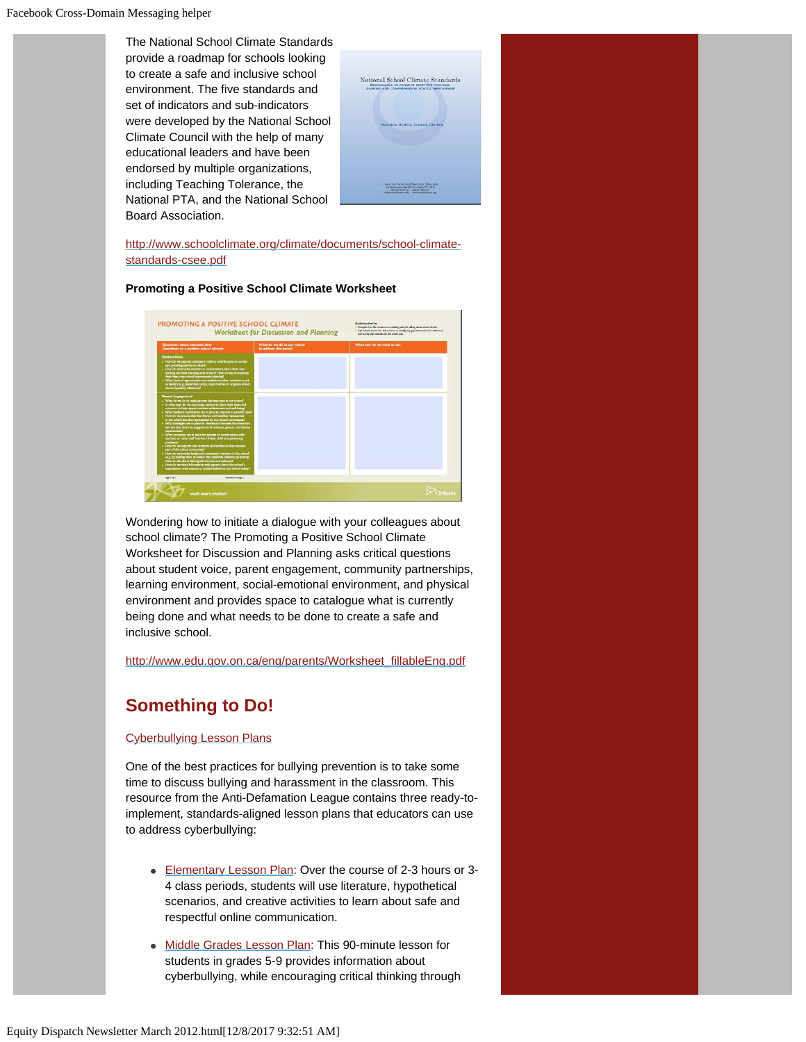The National School Climate Standards provide a roadmap for schools looking to create a safe and inclusive school environment. The five standards and set of indicators and sub-indicators were developed by the National School Climate Council with the help of many educational leaders and have been endorsed by multiple organizations, including Teaching Tolerance, the National PTA, and the National School Board Association.

| National School Climate Standards<br><b>BENCHMARKS TO PROMOTE EFFECTIVE TEACHING.</b><br>LEARNING AND COMPREHENSIVE SCHOOL IMPROVEMENT |
|----------------------------------------------------------------------------------------------------------------------------------------|
| NATIONAL SCHOOL CLIMATE COUNCIL                                                                                                        |
|                                                                                                                                        |
| Conter for Social and Enational Education                                                                                              |
|                                                                                                                                        |

[http://www.schoolclimate.org/climate/documents/school-climate](http://click.icptrack.com/icp/rclick.php?d=Gp73aByODKFDtKXRRIoPNXyUD1md0ycw&w=3&destination=http%3A%2F%2Fwww.schoolclimate.org%2Fclimate%2Fdocuments%2Fschool-climate-standards-csee.pdf)[standards-csee.pdf](http://click.icptrack.com/icp/rclick.php?d=Gp73aByODKFDtKXRRIoPNXyUD1md0ycw&w=3&destination=http%3A%2F%2Fwww.schoolclimate.org%2Fclimate%2Fdocuments%2Fschool-climate-standards-csee.pdf)

#### **Promoting a Positive School Climate Worksheet**



Wondering how to initiate a dialogue with your colleagues about school climate? The Promoting a Positive School Climate Worksheet for Discussion and Planning asks critical questions about student voice, parent engagement, community partnerships, learning environment, social-emotional environment, and physical environment and provides space to catalogue what is currently being done and what needs to be done to create a safe and inclusive school.

[http://www.edu.gov.on.ca/eng/parents/Worksheet\\_fillableEng.pdf](http://click.icptrack.com/icp/rclick.php?d=Gp73aByODKFDtKXRRIoPNXyUD1md0ycw&w=3&destination=http%3A%2F%2Fwww.edu.gov.on.ca%2Feng%2Fparents%2FWorksheet_fillableEng.pdf)

### **Something to Do!**

#### [Cyberbullying Lesson Plans](http://click.icptrack.com/icp/rclick.php?d=Gp73aByODKFDtKXRRIoPNXyUD1md0ycw&w=3&destination=http%3A%2F%2Fwww.adl.org%2Feducation%2Fcurriculum_connections%2Fcyberbullying%2Fcyberbullying_edition_cc_entireunit.pdf)

One of the best practices for bullying prevention is to take some time to discuss bullying and harassment in the classroom. This resource from the Anti-Defamation League contains three ready-toimplement, standards-aligned lesson plans that educators can use to address cyberbullying:

- [Elementary Lesson Plan:](http://click.icptrack.com/icp/rclick.php?d=Gp73aByODKFDtKXRRIoPNXyUD1md0ycw&w=3&destination=http%3A%2F%2Fwww.adl.org%2Feducation%2Fcurriculum_connections%2Fcyberbullying%2Fcyberbullying_lesson_1.asp%3Fcc_section%3Dlesson_1) Over the course of 2-3 hours or 3- 4 class periods, students will use literature, hypothetical scenarios, and creative activities to learn about safe and respectful online communication.
- [Middle Grades Lesson Plan](http://click.icptrack.com/icp/rclick.php?d=Gp73aByODKFDtKXRRIoPNXyUD1md0ycw&w=3&destination=http%3A%2F%2Fwww.adl.org%2Feducation%2Fcurriculum_connections%2Fcyberbullying%2Fcyberbullying_lesson_2.asp%3Fcc_section%3Dlesson_2): This 90-minute lesson for students in grades 5-9 provides information about cyberbullying, while encouraging critical thinking through